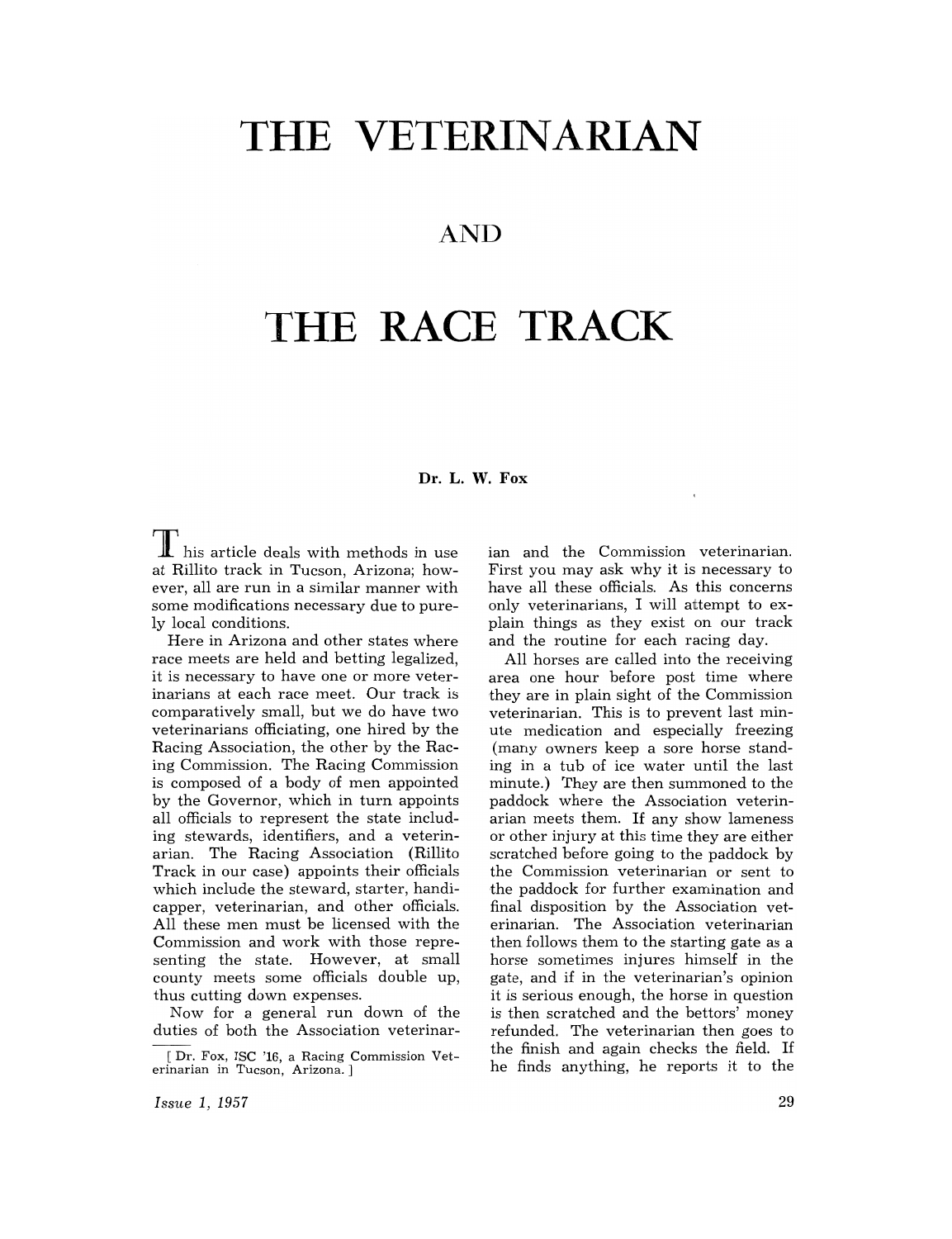# **THE VETERINARIAN**

# **AND**

# **THE RACE TRACK**

# **Dr. L. W. Fox**

I his article deals with methods in use at Rillito track in Tucson, Arizona; however, all are run in a similar manner with some modifications necessary due to purely local conditions.

Here in Arizona and other states where race meets are held and betting legalized, it is necessary to have one or more veterinarians at each race meet. Our track is comparatively small, but we do have two veterinarians officiating, one hired by the Racing Association, the other by the Racing Commission. The Racing Commission is composed of a body of men appointed by the Governor, which in turn appoints all officials to represent the state including stewards, identifiers, and a veterinarian. The Racing Association (Rillito Track in our case) appoints their officials which include the steward, starter, handicapper, veterinarian, and other officials. All these men must be licensed with the Commission and work with those representing the state. However, at small county meets some officials double up, thus cutting down expenses.

Now for a general run down of the duties of both the Association veterinarian and the Commission veterinarian. First you may ask why it is necessary to have all these officials. As this concerns only veterinarians, I will attempt to explain things as they exist on our track and the routine for each racing day.

All horses are called into the receiving area one hour before post time where they are in plain sight of the Commission veterinarian. This is to prevent last minute medication and especially freezing (many owners keep a sore horse standing in a tub of ice water until the last minute.) They are then summoned to the paddock where the Association veterinarian meets them. If any show lameness or other injury at this time they are either scratched before going to the paddock by the Commission veterinarian or sent to the paddock for further examination and final disposition by the Association veterinarian. The Association veterinarian then follows them to the starting gate as a horse sometimes injures himself in the gate, and if in the veterinarian's opinion it is serious enough, the horse in question is then scratched and the bettors' money refunded. The veterinarian then goes to the finish and again checks the field. If he finds anything, he reports it to the

*Issue* 1, 1957

<sup>[</sup>Dr. Fox, ISC '16, a Racing Commission Veterinarian in Tucson, Arizona. J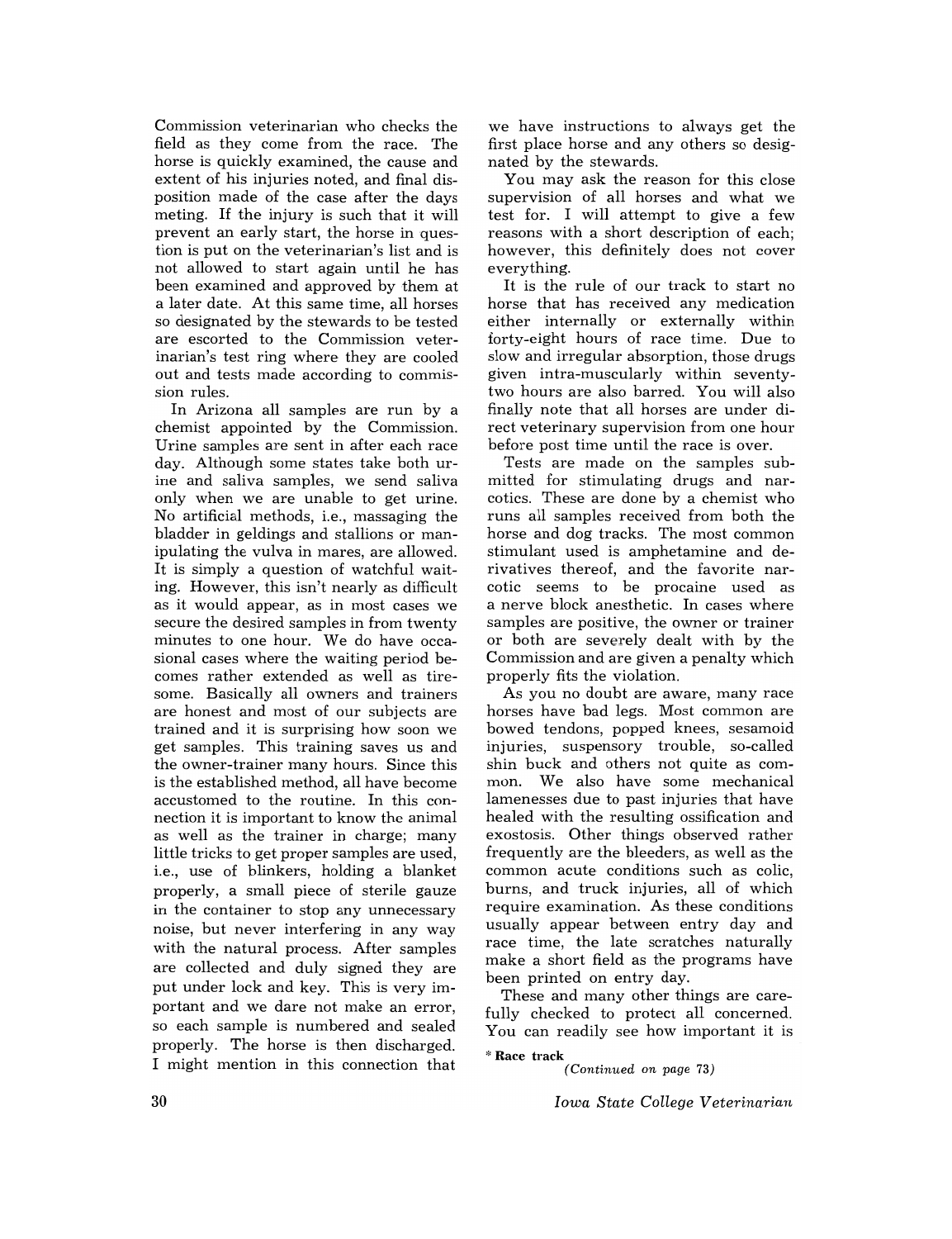Commission veterinarian who checks the field as they come from the race. The horse is quickly examined, the cause and extent of his injuries noted, and final disposition made of the case after the days meting. If the injury is such that it will prevent an early start, the horse in question is put on the veterinarian's list and is not allowed to start again until he has been examined and approved by them at a later date. At this same time, all horses so designated by the stewards to be tested are escorted to the Commission veterinarian's test ring where they are cooled out and tests made according to commission rules.

In Arizona all samples are run by a chemist appointed by the Commission. Urine samples are sent in after each race day. Although some states take both urine and saliva samples, we send saliva only when we are unable to get urine. No artificial methods, i.e., massaging the bladder in geldings and stallions or manipulating the vulva in mares, are allowed. It is simply a question of watchful waiting. However, this isn't nearly as difficult as it would appear, as in most cases we secure the desired samples in from twenty minutes to one hour. We do have occasional cases where the waiting period becomes rather extended as well as tiresome. Basically all owners and trainers are honest and most of our subjects are trained and it is surprising how soon we get samples. This training saves us and the owner-trainer many hours. Since this is the established method, all have become accustomed to the routine. In this connection it is important to know the animal as well as the trainer in charge; many little tricks to get proper samples are used, i.e., use of blinkers, holding a blanket properly, a small piece of sterile gauze in the container to stop any unnecessary noise, but never interfering in any way with the natural process. After samples are collected and duly signed they are put under lock and key. This is very important and we dare not make an error, so each sample is numbered and sealed properly. The horse is then discharged. I might mention in this connection that

we have instructions to always get the first place horse and any others so designated by the stewards.

You may ask the reason for this close supervision of all horses and what we test for. I will attempt to give a few reasons with a short description of each; however, this definitely does not cover everything.

It is the rule of our track to start no horse that has received any medication either internally or externally within forty-eight hours of race time. Due to slow and irregular absorption, those drugs given intra-muscularly within seventytwo hours are also barred. You will also finally note that all horses are under direct veterinary supervision from one hour before post time until the race is over.

Tests are made on the samples submitted for stimulating drugs and narcotics. These are done by a chemist who runs all samples received from both the horse and dog tracks. The most common stimulant used is amphetamine and derivatives thereof, and the favorite narcotic seems to be procaine used as a nerve block anesthetic. In cases where samples are positive, the owner or trainer or both are severely dealt with by the Commission and are given a penalty which properly fits the violation.

As you no doubt are aware, many race horses have bad legs. Most common are bowed tendons, popped knees, sesamoid injuries, suspensory trouble, so-called shin buck and others not quite as common. We also have some mechanical lamenesses due to past injuries that have healed with the resulting ossification and exostosis. Other things observed rather frequently are the bleeders, as well as the common acute conditions such as colic, burns, and truck injuries, all of which require examination. As these conditions usually appear between entry day and race time, the late scratches naturally make a short field as the programs have been printed on entry day.

These and many other things are carefully checked to protect all concerned. You can readily see how important it is

"Race track *(Continued on page 73)* 

*Iowa State College Veterinarian*